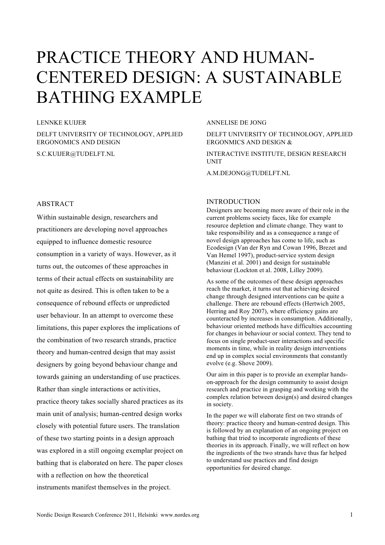# PRACTICE THEORY AND HUMAN-CENTERED DESIGN: A SUSTAINABLE BATHING EXAMPLE

#### LENNKE KUIJER

DELFT UNIVERSITY OF TECHNOLOGY, APPLIED ERGONOMICS AND DESIGN

S.C.KUIJER@TUDELFT.NL

# ANNELISE DE JONG

INTRODUCTION

DELFT UNIVERSITY OF TECHNOLOGY, APPLIED ERGONMICS AND DESIGN &

INTERACTIVE INSTITUTE, DESIGN RESEARCH UNIT

A.M.DEJONG@TUDELFT.NL

Designers are becoming more aware of their role in the current problems society faces, like for example resource depletion and climate change. They want to take responsibility and as a consequence a range of novel design approaches has come to life, such as Ecodesign (Van der Ryn and Cowan 1996, Brezet and Van Hemel 1997), product-service system design (Manzini et al. 2001) and design for sustainable behaviour (Lockton et al. 2008, Lilley 2009).

As some of the outcomes of these design approaches reach the market, it turns out that achieving desired change through designed interventions can be quite a challenge. There are rebound effects (Hertwich 2005, Herring and Roy 2007), where efficiency gains are counteracted by increases in consumption. Additionally, behaviour oriented methods have difficulties accounting for changes in behaviour or social context. They tend to focus on single product-user interactions and specific moments in time, while in reality design interventions end up in complex social environments that constantly evolve (e.g. Shove 2009).

Our aim in this paper is to provide an exemplar handson-approach for the design community to assist design research and practice in grasping and working with the complex relation between design(s) and desired changes in society.

In the paper we will elaborate first on two strands of theory: practice theory and human-centred design. This is followed by an explanation of an ongoing project on bathing that tried to incorporate ingredients of these theories in its approach. Finally, we will reflect on how the ingredients of the two strands have thus far helped to understand use practices and find design opportunities for desired change.

## ABSTRACT

Within sustainable design, researchers and practitioners are developing novel approaches equipped to influence domestic resource consumption in a variety of ways. However, as it turns out, the outcomes of these approaches in terms of their actual effects on sustainability are not quite as desired. This is often taken to be a consequence of rebound effects or unpredicted user behaviour. In an attempt to overcome these limitations, this paper explores the implications of the combination of two research strands, practice theory and human-centred design that may assist designers by going beyond behaviour change and towards gaining an understanding of use practices. Rather than single interactions or activities, practice theory takes socially shared practices as its main unit of analysis; human-centred design works closely with potential future users. The translation of these two starting points in a design approach was explored in a still ongoing exemplar project on bathing that is elaborated on here. The paper closes with a reflection on how the theoretical instruments manifest themselves in the project.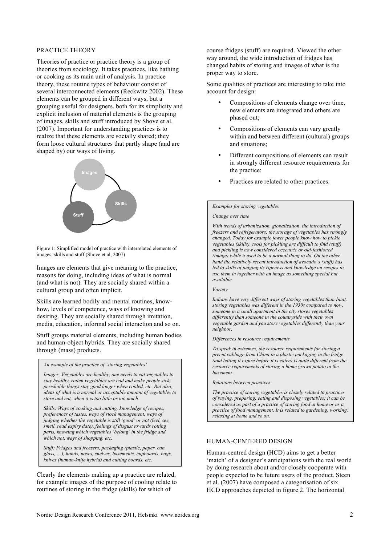#### PRACTICE THEORY

Theories of practice or practice theory is a group of theories from sociology. It takes practices, like bathing or cooking as its main unit of analysis. In practice theory, these routine types of behaviour consist of several interconnected elements (Reckwitz 2002). These elements can be grouped in different ways, but a grouping useful for designers, both for its simplicity and explicit inclusion of material elements is the grouping of images, skills and stuff introduced by Shove et al. (2007). Important for understanding practices is to realize that these elements are socially shared; they form loose cultural structures that partly shape (and are shaped by) our ways of living.



Figure 1: Simplified model of practice with interrelated elements of images, skills and stuff (Shove et al, 2007)

Images are elements that give meaning to the practice, reasons for doing, including ideas of what is normal (and what is not). They are socially shared within a cultural group and often implicit.

Skills are learned bodily and mental routines, knowhow, levels of competence, ways of knowing and desiring. They are socially shared through imitation, media, education, informal social interaction and so on.

Stuff groups material elements, including human bodies and human-object hybrids. They are socially shared through (mass) products.

*An example of the practice of 'storing vegetables'*

*Images: Vegetables are healthy, one needs to eat vegetables to stay healthy, rotten vegetables are bad and make people sick, perishable things stay good longer when cooled, etc. But also, ideas of what is a normal or acceptable amount of vegetables to store and eat, when it is too little or too much.*

*Skills: Ways of cooking and cutting, knowledge of recipes, preferences of tastes, ways of stock management, ways of judging whether the vegetable is still 'good' or not (feel, see, smell, read expiry date), feelings of disgust towards rotting parts, knowing which vegetables 'belong' in the fridge and which not, ways of shopping, etc.*

*Stuff: Fridges and freezers, packaging (plastic, paper, can, glass, …), hands, noses, shelves, basements, cupboards, bags, knives (human-knife hybrid) and cutting boards, etc.*

Clearly the elements making up a practice are related, for example images of the purpose of cooling relate to routines of storing in the fridge (skills) for which of

course fridges (stuff) are required. Viewed the other way around, the wide introduction of fridges has changed habits of storing and images of what is the proper way to store.

Some qualities of practices are interesting to take into account for design:

- Compositions of elements change over time, new elements are integrated and others are phased out;
- Compositions of elements can vary greatly within and between different (cultural) groups and situations;
- Different compositions of elements can result in strongly different resource requirements for the practice;
- Practices are related to other practices.

#### *Examples for storing vegetables*

#### *Change over time*

*With trends of urbanization, globalization, the introduction of freezers and refrigerators, the storage of vegetables has strongly changed. Today for example fewer people know how to pickle vegetables (skills), tools for pickling are difficult to find (stuff) and pickling is now considered eccentric or old-fashioned (image) while it used to be a normal thing to do. On the other hand the relatively recent introduction of avocado's (stuff) has led to skills of judging its ripeness and knowledge on recipes to use them in together with an image as something special but available.*

#### *Variety*

*Indians have very different ways of storing vegetables than Inuit, storing vegetables was different in the 1930s compared to now, someone in a small apartment in the city stores vegetables differently than someone in the countryside with their own vegetable garden and you store vegetables differently than your neighbor.* 

#### *Differences in resource requirements*

*To speak in extremes, the resource requirements for storing a precut cabbage from China in a plastic packaging in the fridge (and letting it expire before it is eaten) is quite different from the resource requirements of storing a home grown potato in the basement.*

*Relations between practices*

*The practice of storing vegetables is closely related to practices of buying, preparing, eating and disposing vegetables; it can be considered as part of a practice of storing food at home or as a practice of food management. It is related to gardening, working, relaxing at home and so on.*

#### HUMAN-CENTERED DESIGN

Human-centred design (HCD) aims to get a better 'match' of a designer's anticipations with the real world by doing research about and/or closely cooperate with people expected to be future users of the product. Steen et al. (2007) have composed a categorisation of six HCD approaches depicted in figure 2. The horizontal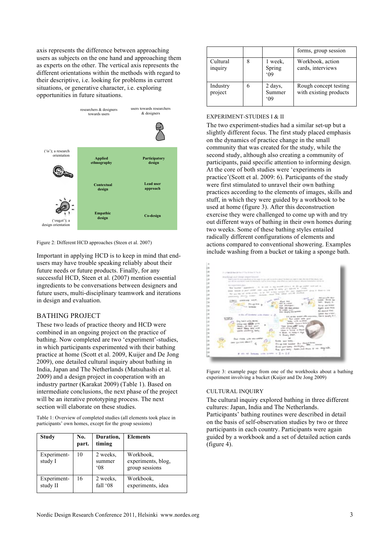axis represents the difference between approaching users as subjects on the one hand and approaching them as experts on the other. The vertical axis represents the different orientations within the methods with regard to their descriptive, i.e. looking for problems in current situations, or generative character, i.e. exploring opportunities in future situations.



Figure 2: Different HCD approaches (Steen et al. 2007)

Important in applying HCD is to keep in mind that endusers may have trouble speaking reliably about their future needs or future products. Finally, for any successful HCD, Steen et al. (2007) mention essential ingredients to be conversations between designers and future users, multi-disciplinary teamwork and iterations in design and evaluation.

# BATHING PROJECT

These two leads of practice theory and HCD were combined in an ongoing project on the practice of bathing. Now completed are two 'experiment'-studies, in which participants experimented with their bathing practice at home (Scott et al. 2009, Kuijer and De Jong 2009), one detailed cultural inquiry about bathing in India, Japan and The Netherlands (Matsuhashi et al. 2009) and a design project in cooperation with an industry partner (Karakat 2009) (Table 1). Based on intermediate conclusions, the next phase of the project will be an iterative prototyping process. The next section will elaborate on these studies.

Table 1: Overview of completed studies (all elements took place in participants' own homes, except for the group sessions)

| <b>Study</b>            | No.<br>part. | Duration,<br>timing                | <b>Elements</b>                                   |
|-------------------------|--------------|------------------------------------|---------------------------------------------------|
| Experiment-<br>study I  | 10           | 2 weeks.<br>summer<br>$^{\circ}08$ | Workbook,<br>experiments, blog,<br>group sessions |
| Experiment-<br>study II | 16           | 2 weeks.<br>fall '08               | Workbook,<br>experiments, idea                    |

|                     |   |                          | forms, group session                            |
|---------------------|---|--------------------------|-------------------------------------------------|
| Cultural<br>inquiry | 8 | 1 week.<br>Spring<br>.09 | Workbook, action<br>cards, interviews           |
| Industry<br>project |   | 2 days,<br>Summer<br>.09 | Rough concept testing<br>with existing products |

### EXPERIMENT-STUDIES I & II

The two experiment-studies had a similar set-up but a slightly different focus. The first study placed emphasis on the dynamics of practice change in the small community that was created for the study, while the second study, although also creating a community of participants, paid specific attention to informing design. At the core of both studies were 'experiments in practice'(Scott et al. 2009: 6). Participants of the study were first stimulated to unravel their own bathing practices according to the elements of images, skills and stuff, in which they were guided by a workbook to be used at home (figure 3). After this deconstruction exercise they were challenged to come up with and try out different ways of bathing in their own homes during two weeks. Some of these bathing styles entailed radically different configurations of elements and actions compared to conventional showering. Examples include washing from a bucket or taking a sponge bath.



Figure 3: example page from one of the workbooks about a bathing experiment involving a bucket (Kuijer and De Jong 2009)

## CULTURAL INQUIRY

The cultural inquiry explored bathing in three different cultures: Japan, India and The Netherlands. Participants' bathing routines were described in detail on the basis of self-observation studies by two or three participants in each country. Participants were again guided by a workbook and a set of detailed action cards (figure 4).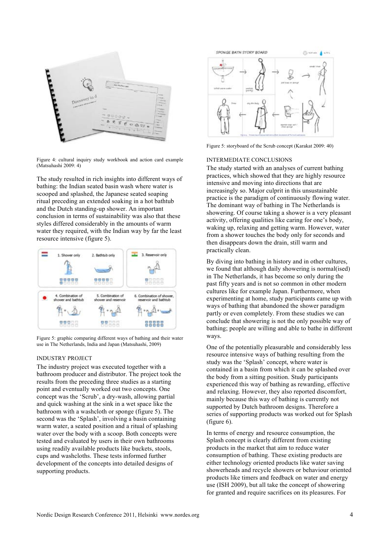

Figure 4: cultural inquiry study workbook and action card example (Matsuhashi 2009: 4)

The study resulted in rich insights into different ways of bathing: the Indian seated basin wash where water is scooped and splashed, the Japanese seated soaping ritual preceding an extended soaking in a hot bathtub and the Dutch standing-up shower. An important conclusion in terms of sustainability was also that these styles differed considerably in the amounts of warm water they required, with the Indian way by far the least resource intensive (figure 5).



Figure 5: graphic comparing different ways of bathing and their water use in The Netherlands, India and Japan (Matsuhashi, 2009)

#### INDUSTRY PROJECT

The industry project was executed together with a bathroom producer and distributor. The project took the results from the preceding three studies as a starting point and eventually worked out two concepts. One concept was the 'Scrub', a dry-wash, allowing partial and quick washing at the sink in a wet space like the bathroom with a washcloth or sponge (figure 5). The second was the 'Splash', involving a basin containing warm water, a seated position and a ritual of splashing water over the body with a scoop. Both concepts were tested and evaluated by users in their own bathrooms using readily available products like buckets, stools, cups and washcloths. These tests informed further development of the concepts into detailed designs of supporting products.



Figure 5: storyboard of the Scrub concept (Karakat 2009: 40)

#### INTERMEDIATE CONCLUSIONS

The study started with an analyses of current bathing practices, which showed that they are highly resource intensive and moving into directions that are increasingly so. Major culprit in this unsustainable practice is the paradigm of continuously flowing water. The dominant way of bathing in The Netherlands is showering. Of course taking a shower is a very pleasant activity, offering qualities like caring for one's body, waking up, relaxing and getting warm. However, water from a shower touches the body only for seconds and then disappears down the drain, still warm and practically clean.

By diving into bathing in history and in other cultures, we found that although daily showering is normal(ised) in The Netherlands, it has become so only during the past fifty years and is not so common in other modern cultures like for example Japan. Furthermore, when experimenting at home, study participants came up with ways of bathing that abandoned the shower paradigm partly or even completely. From these studies we can conclude that showering is not the only possible way of bathing; people are willing and able to bathe in different ways.

One of the potentially pleasurable and considerably less resource intensive ways of bathing resulting from the study was the 'Splash' concept, where water is contained in a basin from which it can be splashed over the body from a sitting position. Study participants experienced this way of bathing as rewarding, effective and relaxing. However, they also reported discomfort, mainly because this way of bathing is currently not supported by Dutch bathroom designs. Therefore a series of supporting products was worked out for Splash (figure 6).

In terms of energy and resource consumption, the Splash concept is clearly different from existing products in the market that aim to reduce water consumption of bathing. These existing products are either technology oriented products like water saving showerheads and recycle showers or behaviour oriented products like timers and feedback on water and energy use (ISH 2009), but all take the concept of showering for granted and require sacrifices on its pleasures. For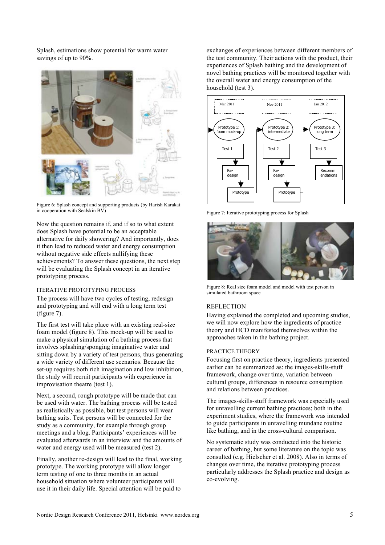Splash, estimations show potential for warm water savings of up to 90%.



Figure 6: Splash concept and supporting products (by Harish Karakat in cooperation with Sealskin BV)

Now the question remains if, and if so to what extent does Splash have potential to be an acceptable alternative for daily showering? And importantly, does it then lead to reduced water and energy consumption without negative side effects nullifying these achievements? To answer these questions, the next step will be evaluating the Splash concept in an iterative prototyping process.

#### ITERATIVE PROTOTYPING PROCESS

The process will have two cycles of testing, redesign and prototyping and will end with a long term test (figure 7).

The first test will take place with an existing real-size foam model (figure 8). This mock-up will be used to make a physical simulation of a bathing process that involves splashing/sponging imaginative water and sitting down by a variety of test persons, thus generating a wide variety of different use scenarios. Because the set-up requires both rich imagination and low inhibition, the study will recruit participants with experience in improvisation theatre (test 1).

Next, a second, rough prototype will be made that can be used with water. The bathing process will be tested as realistically as possible, but test persons will wear bathing suits. Test persons will be connected for the study as a community, for example through group meetings and a blog. Participants' experiences will be evaluated afterwards in an interview and the amounts of water and energy used will be measured (test 2).

Finally, another re-design will lead to the final, working prototype. The working prototype will allow longer term testing of one to three months in an actual household situation where volunteer participants will use it in their daily life. Special attention will be paid to

exchanges of experiences between different members of the test community. Their actions with the product, their experiences of Splash bathing and the development of novel bathing practices will be monitored together with the overall water and energy consumption of the household (test 3).



Figure 7: Iterative prototyping process for Splash



Figure 8: Real size foam model and model with test person in simulated bathroom space

# **REFLECTION**

Having explained the completed and upcoming studies, we will now explore how the ingredients of practice theory and HCD manifested themselves within the approaches taken in the bathing project.

# PRACTICE THEORY

Focusing first on practice theory, ingredients presented earlier can be summarized as: the images-skills-stuff framework, change over time, variation between cultural groups, differences in resource consumption and relations between practices.

The images-skills-stuff framework was especially used for unravelling current bathing practices; both in the experiment studies, where the framework was intended to guide participants in unravelling mundane routine like bathing, and in the cross-cultural comparison.

No systematic study was conducted into the historic career of bathing, but some literature on the topic was consulted (e.g. Hielscher et al. 2008). Also in terms of changes over time, the iterative prototyping process particularly addresses the Splash practice and design as co-evolving.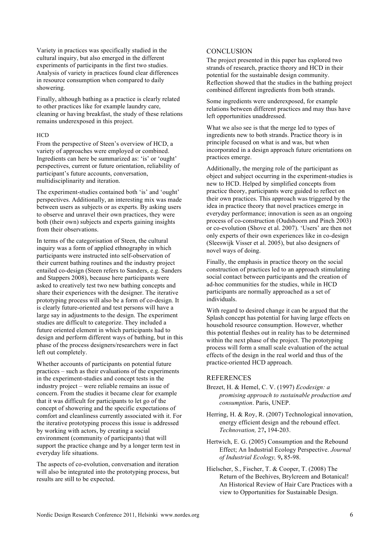Variety in practices was specifically studied in the cultural inquiry, but also emerged in the different experiments of participants in the first two studies. Analysis of variety in practices found clear differences in resource consumption when compared to daily showering.

Finally, although bathing as a practice is clearly related to other practices like for example laundry care, cleaning or having breakfast, the study of these relations remains underexposed in this project.

#### **HCD**

From the perspective of Steen's overview of HCD, a variety of approaches were employed or combined. Ingredients can here be summarized as: 'is' or 'ought' perspectives, current or future orientation, reliability of participant's future accounts, conversation, multidisciplinarity and iteration.

The experiment-studies contained both 'is' and 'ought' perspectives. Additionally, an interesting mix was made between users as subjects or as experts. By asking users to observe and unravel their own practices, they were both (their own) subjects and experts gaining insights from their observations.

In terms of the categorisation of Steen, the cultural inquiry was a form of applied ethnography in which participants were instructed into self-observation of their current bathing routines and the industry project entailed co-design (Steen refers to Sanders, e.g. Sanders and Stappers 2008), because here participants were asked to creatively test two new bathing concepts and share their experiences with the designer. The iterative prototyping process will also be a form of co-design. It is clearly future-oriented and test persons will have a large say in adjustments to the design. The experiment studies are difficult to categorize. They included a future oriented element in which participants had to design and perform different ways of bathing, but in this phase of the process designers/researchers were in fact left out completely.

Whether accounts of participants on potential future practices – such as their evaluations of the experiments in the experiment-studies and concept tests in the industry project – were reliable remains an issue of concern. From the studies it became clear for example that it was difficult for participants to let go of the concept of showering and the specific expectations of comfort and cleanliness currently associated with it. For the iterative prototyping process this issue is addressed by working with actors, by creating a social environment (community of participants) that will support the practice change and by a longer term test in everyday life situations.

The aspects of co-evolution, conversation and iteration will also be integrated into the prototyping process, but results are still to be expected.

# **CONCLUSION**

The project presented in this paper has explored two strands of research, practice theory and HCD in their potential for the sustainable design community. Reflection showed that the studies in the bathing project combined different ingredients from both strands.

Some ingredients were underexposed, for example relations between different practices and may thus have left opportunities unaddressed.

What we also see is that the merge led to types of ingredients new to both strands. Practice theory is in principle focused on what is and was, but when incorporated in a design approach future orientations on practices emerge.

Additionally, the merging role of the participant as object and subject occurring in the experiment-studies is new to HCD. Helped by simplified concepts from practice theory, participants were guided to reflect on their own practices. This approach was triggered by the idea in practice theory that novel practices emerge in everyday performance; innovation is seen as an ongoing process of co-construction (Oudshoorn and Pinch 2003) or co-evolution (Shove et al. 2007). 'Users' are then not only experts of their own experiences like in co-design (Sleeswijk Visser et al. 2005), but also designers of novel ways of doing.

Finally, the emphasis in practice theory on the social construction of practices led to an approach stimulating social contact between participants and the creation of ad-hoc communities for the studies, while in HCD participants are normally approached as a set of individuals.

With regard to desired change it can be argued that the Splash concept has potential for having large effects on household resource consumption. However, whether this potential fleshes out in reality has to be determined within the next phase of the project. The prototyping process will form a small scale evaluation of the actual effects of the design in the real world and thus of the practice-oriented HCD approach.

# **REFERENCES**

- Brezet, H. & Hemel, C. V. (1997) *Ecodesign: a promising approach to sustainable production and consumption*. Paris, UNEP.
- Herring, H. & Roy, R. (2007) Technological innovation, energy efficient design and the rebound effect. *Technovation,* 27**,** 194-203.
- Hertwich, E. G. (2005) Consumption and the Rebound Effect; An Industrial Ecology Perspective. *Journal of Industrial Ecology,* 9**,** 85-98.
- Hielscher, S., Fischer, T. & Cooper, T. (2008) The Return of the Beehives, Brylcreem and Botanical! An Historical Review of Hair Care Practices with a view to Opportunities for Sustainable Design.